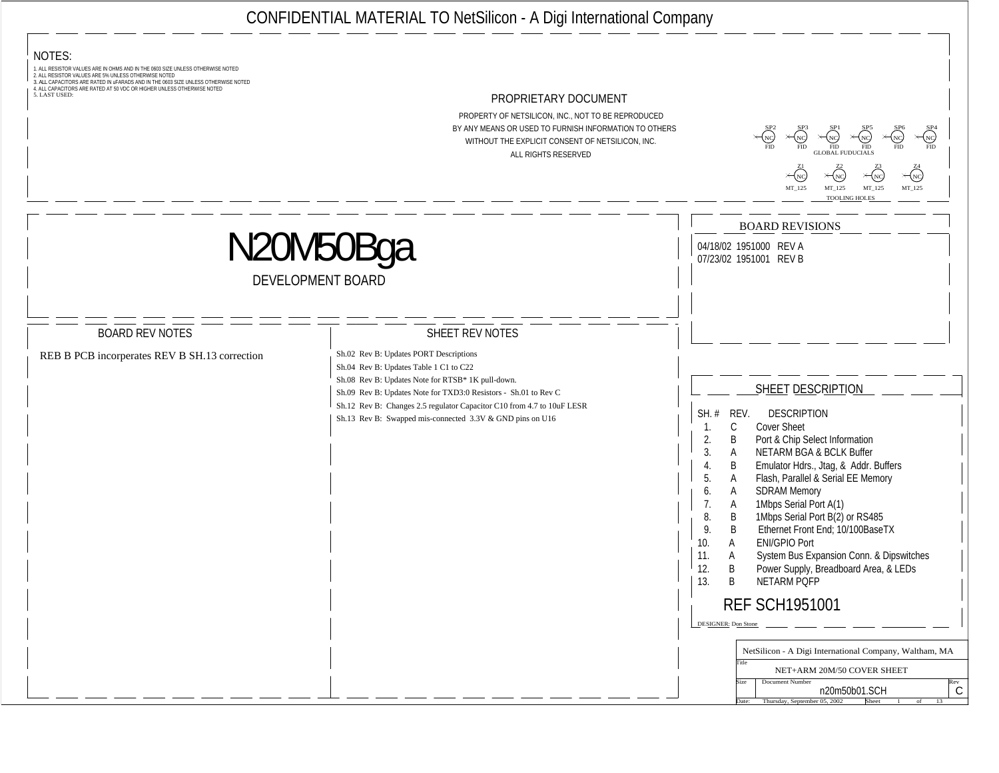| ັັ<br>______________________________                                                                                                                                                                                                                                                                                                                                                                                                                                                                                                                              |                                                                                                                                                                                                                                                                                                                                                                                                                                                                                                                                                                                                                                                                                                                                                                                                                                        |
|-------------------------------------------------------------------------------------------------------------------------------------------------------------------------------------------------------------------------------------------------------------------------------------------------------------------------------------------------------------------------------------------------------------------------------------------------------------------------------------------------------------------------------------------------------------------|----------------------------------------------------------------------------------------------------------------------------------------------------------------------------------------------------------------------------------------------------------------------------------------------------------------------------------------------------------------------------------------------------------------------------------------------------------------------------------------------------------------------------------------------------------------------------------------------------------------------------------------------------------------------------------------------------------------------------------------------------------------------------------------------------------------------------------------|
| $\frac{1}{1}$ notes:<br>1. ALL RESISTOR VALUES ARE IN OHMS AND IN THE 0603 SIZE UNLESS OTHERWISE NOTED<br>2. ALL RESISTOR VALUES ARE 5% UNLESS OTHERWISE NOTED<br>3. ALL CAPACITORS ARE RATED IN UFARADS AND IN THE 0603 SIZE UNLESS OTHERWISE NOTED<br>4. ALL CAPACITORS ARE RATED AT 50 VDC OR HIGHER UNLESS OTHERWISE NOTED<br>5. LAST USED:<br>PROPRIETARY DOCUMENT<br>PROPERTY OF NETSILICON, INC., NOT TO BE REPRODUCED<br>BY ANY MEANS OR USED TO FURNISH INFORMATION TO OTHERS<br>WITHOUT THE EXPLICIT CONSENT OF NETSILICON, INC.<br>ALL RIGHTS RESERVED | $\times \begin{matrix} 21 \\ NC \end{matrix}$ $\times \begin{matrix} 22 \\ NC \end{matrix}$ $\times \begin{matrix} 23 \\ NC \end{matrix}$<br>$\times_{\text{NC}}$<br>MT_125 MT_125 MT_125 MT_125                                                                                                                                                                                                                                                                                                                                                                                                                                                                                                                                                                                                                                       |
| DEVELOPMENT BOARD                                                                                                                                                                                                                                                                                                                                                                                                                                                                                                                                                 | <b>BOARD REVISIONS</b><br>___ __ __ __ __ __ __ __ __ __<br>04/18/02 1951000 REV A<br>07/23/02 1951001 REV B                                                                                                                                                                                                                                                                                                                                                                                                                                                                                                                                                                                                                                                                                                                           |
| <b>BOARD REV NOTES</b><br>SHEET REV NOTES<br>Sh.02 Rev B: Updates PORT Descriptions<br>REB B PCB incorperates REV B SH.13 correction<br>Sh.04 Rev B: Updates Table 1 C1 to C22<br><sup>1</sup> Sh.08 Rev B: Updates Note for RTSB* 1K pull-down.<br>Sh.09 Rev B: Updates Note for TXD3:0 Resistors - Sh.01 to Rev C<br>Sh.12 Rev B: Changes 2.5 regulator Capacitor C10 from 4.7 to 10uF LESR<br>Sh.13 Rev B: Swapped mis-connected 3.3V & GND pins on U16                                                                                                        | ___ __ __ __ __ __ __ __ __ __<br>SHEET DESCRIPTION<br>  SH. # REV. DESCRIPTION<br><b>Cover Sheet</b><br>2. B Port & Chip Select Information<br>3. A NETARM BGA & BCLK Buffer<br>B Emulator Hdrs., Jtag, & Addr. Buffers<br>5. A Flash, Parallel & Serial EE Memory<br><b>SDRAM Memory</b><br>1Mbps Serial Port A(1)<br>1Mbps Serial Port B(2) or RS485<br>8. B<br>9. B Ethernet Front End; 10/100BaseTX<br><b>ENI/GPIO Port</b><br>' 10. A<br>System Bus Expansion Conn. & Dipswitches<br>11<br>$\frac{1}{2}$ 12. B<br>Power Supply, Breadboard Area, & LEDs<br>  13. B NETARM PQFP<br><b>REF SCH1951001</b><br>$\boxed{\text{DESIGNER: Dom Stone}}$<br>NetSilicon - A Digi International Company, Waltham, MA<br>NET+ARM 20M/50 COVER SHEET<br>Size Document Number<br>n20m50b01.SCH<br>the: Thursday, September 05, 2002 Sheet 1 of |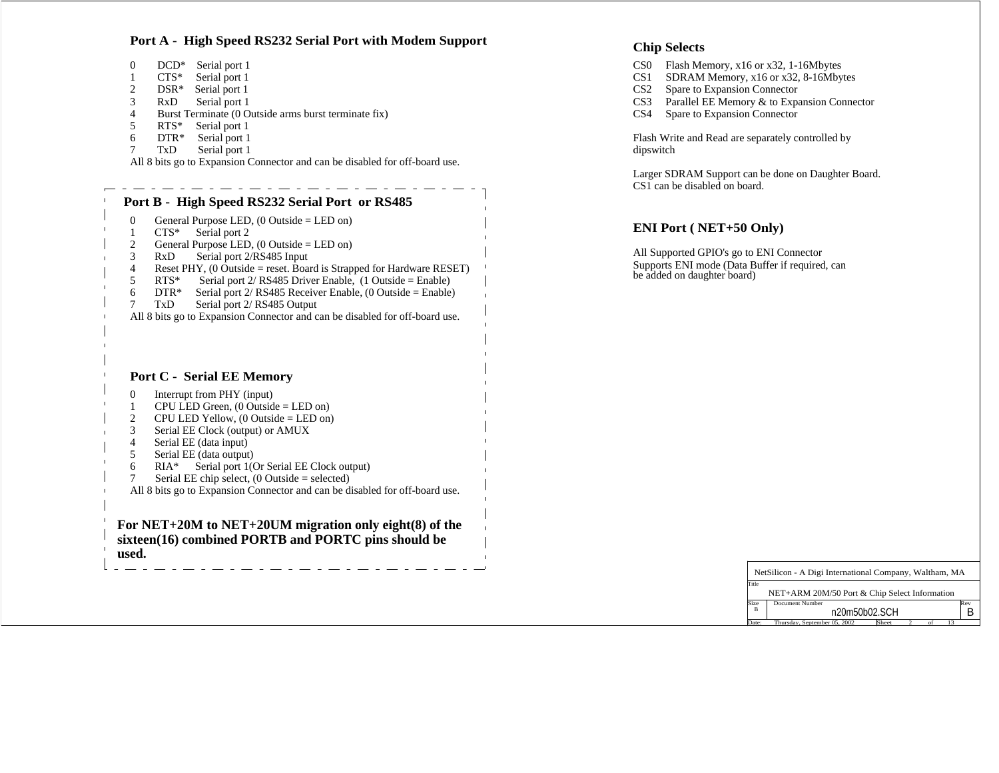## Port A - High Speed RS232 Serial Port with Modem Support<br>
Chip Selects

| DCD <sup>*</sup> Serial port 1                                              | CS0 Flash Memory, x16 or x32, 1-16Mbytes            |
|-----------------------------------------------------------------------------|-----------------------------------------------------|
| $CTS*$ Serial port 1                                                        | CS1 SDRAM Memory, x16 or x32, 8-16Mbytes            |
| DSR* Serial port 1                                                          | CS2 Spare to Expansion Connector                    |
| RxD Serial port 1                                                           | CS3 Parallel EE Memory & to Expansion Connector     |
| Burst Terminate (0 Outside arms burst terminate fix)                        | CS4 Spare to Expansion Connector                    |
| RTS* Serial port 1                                                          |                                                     |
| $DTR^*$ Serial port 1                                                       | Flash Write and Read are separately controlled by   |
| TxD Serial port 1                                                           | dipswitch                                           |
| All 8 bits go to Expansion Connector and can be disabled for off-board use. |                                                     |
|                                                                             | Larger SDRAM Support can be done on Daughter Board. |
|                                                                             |                                                     |



## **Chip Selects**

- 
- 
- CS2 Spare to Expansion Connector
- 
- 

Larger SDRAM Support can be done on Daughter Board. CS1 can be disabled on board.

## **ENI Port ( NET+50 Only)**

All Supported GPIO's go to ENI Connector Supports ENI mode (Data Buffer if required, can be added on daughter board)

| NetSilicon - A Digi International Company, Waltham, MA |  |  |  |
|--------------------------------------------------------|--|--|--|
|                                                        |  |  |  |
| NET+ARM 20M/50 Port & Chip Select Information          |  |  |  |
| Size Document Number                                   |  |  |  |
| n20m50b02.SCH                                          |  |  |  |
| Thursday, September 05, 2002 Sheet 2 of 13             |  |  |  |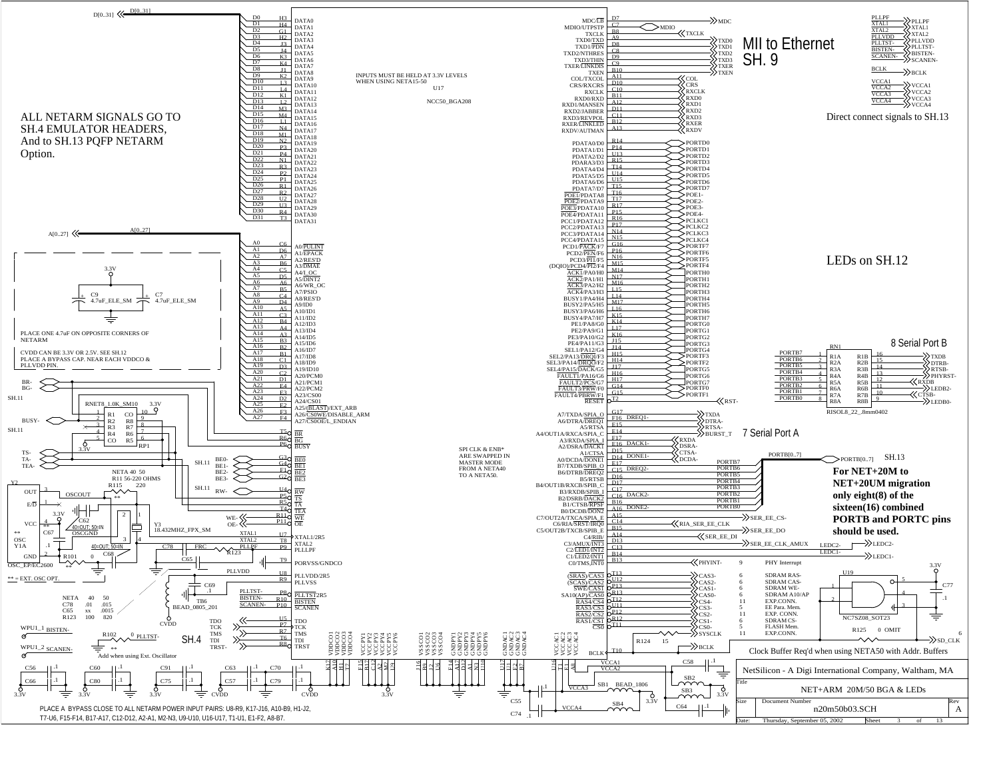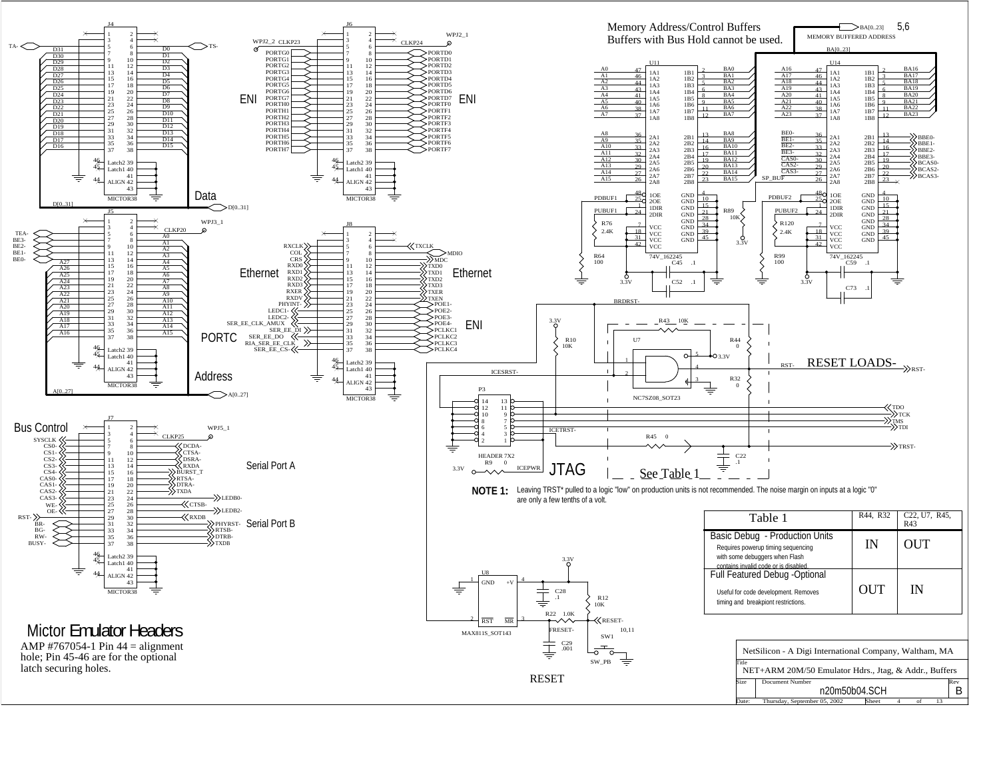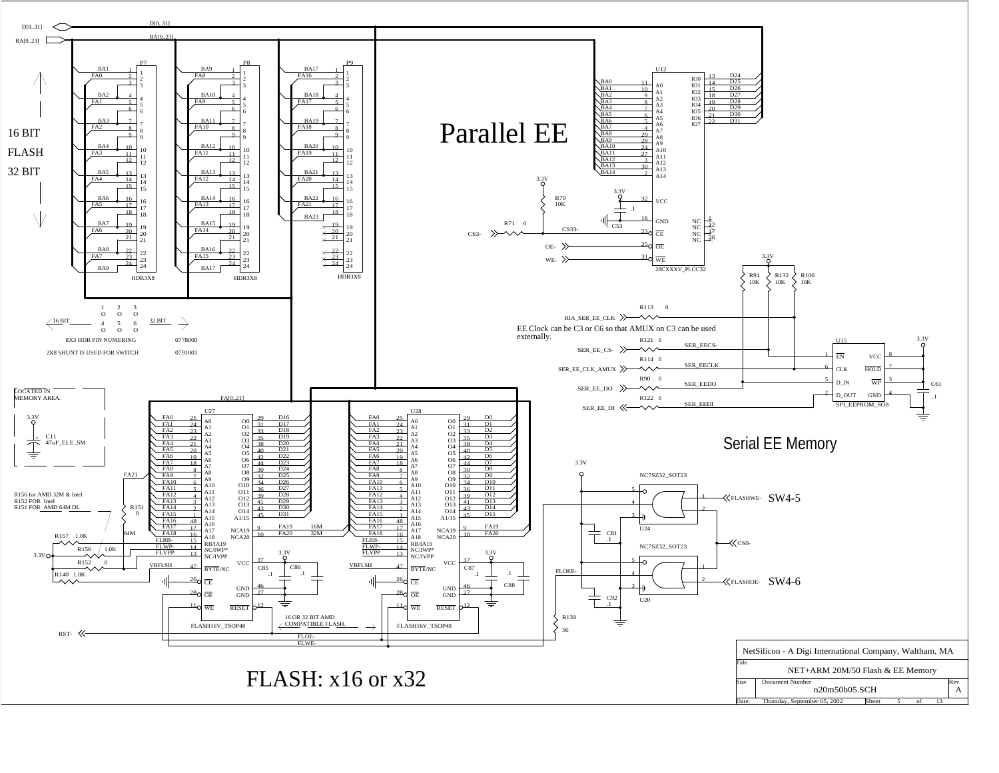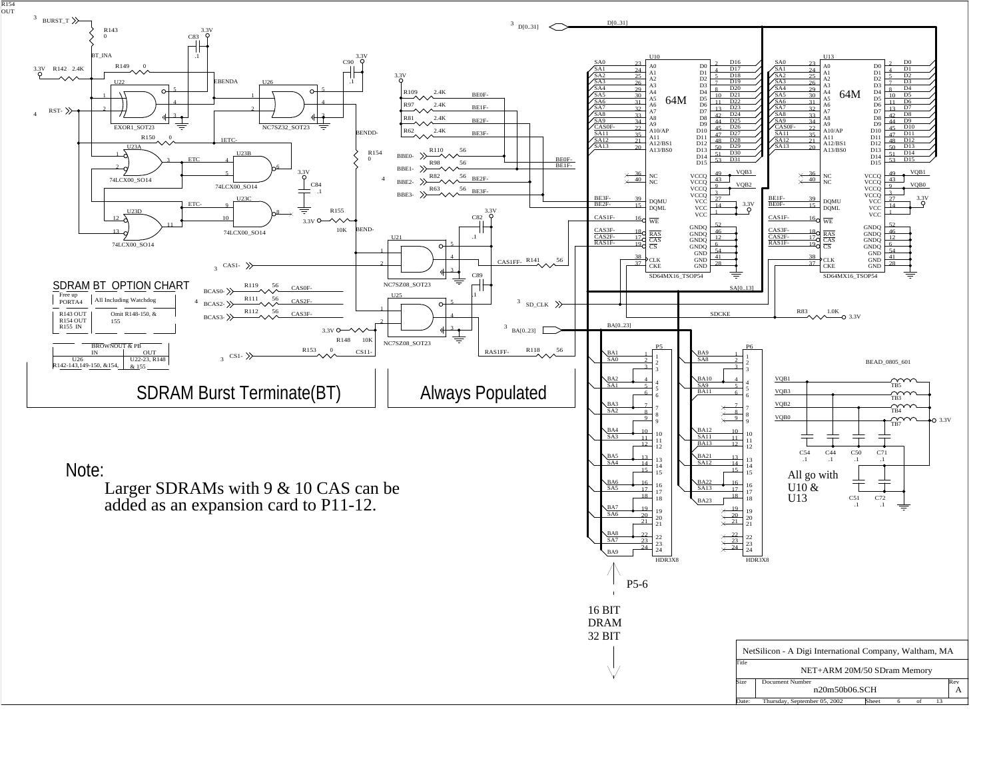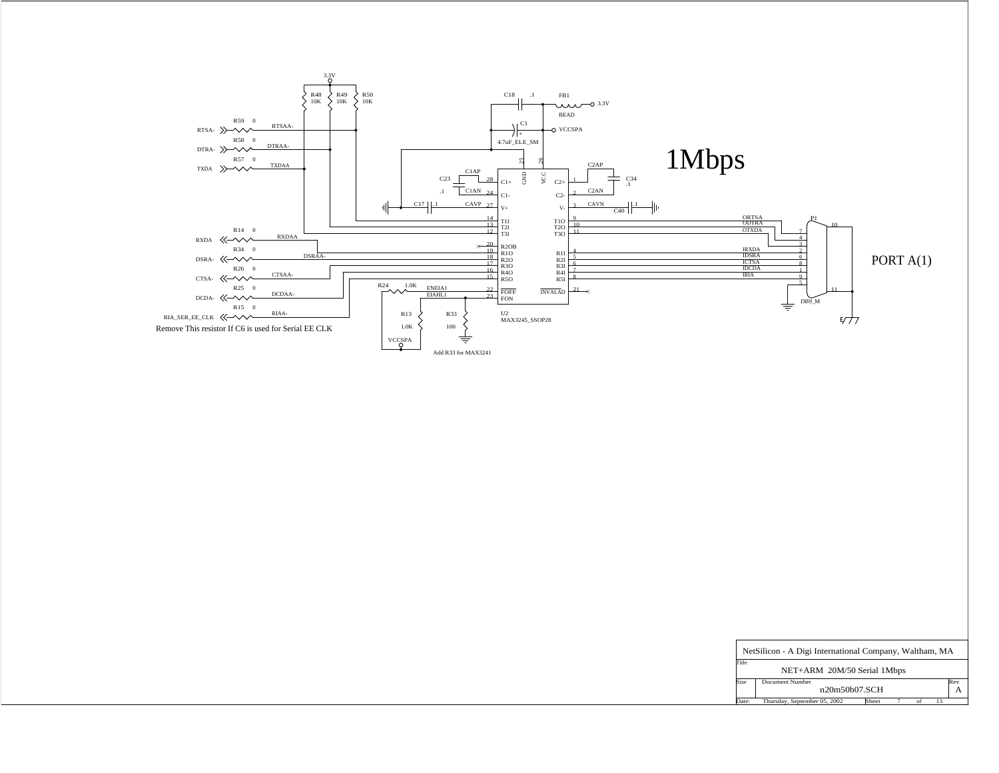

| NetSilicon - A Digi International Company, Waltham, MA |  |  |  |  |  |
|--------------------------------------------------------|--|--|--|--|--|
|                                                        |  |  |  |  |  |
| NET+ARM 20M/50 Serial 1Mbps                            |  |  |  |  |  |
| Size Document Number                                   |  |  |  |  |  |
| n20m50b07.SCH                                          |  |  |  |  |  |
| $\bullet$ btember 05, 2002 Sheet 7                     |  |  |  |  |  |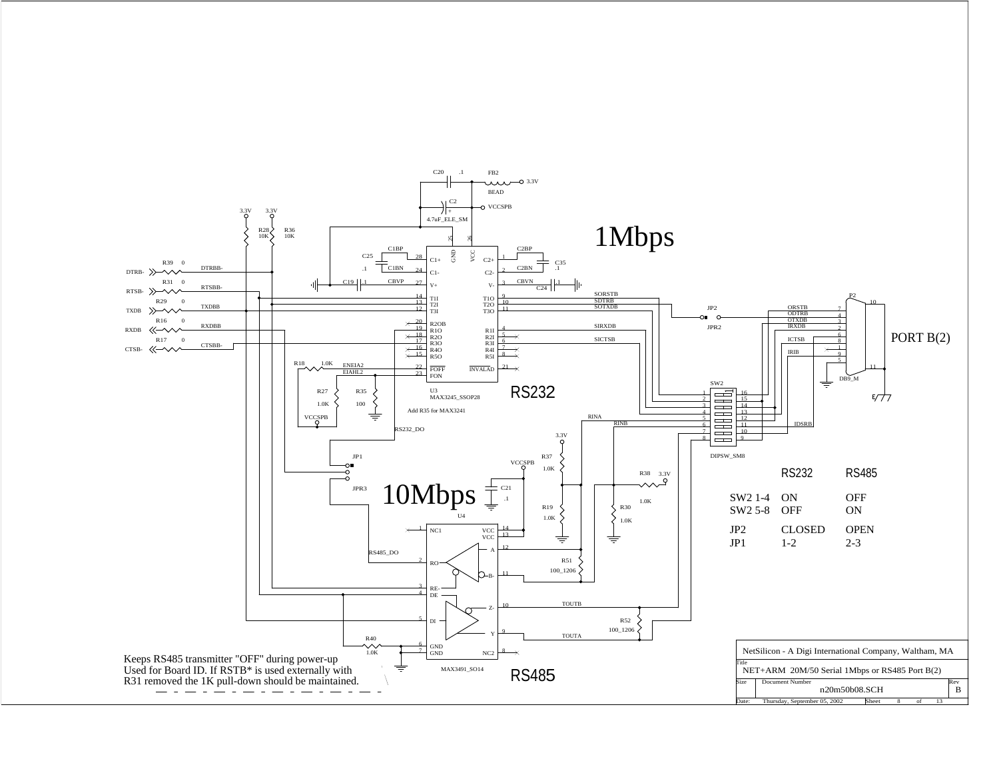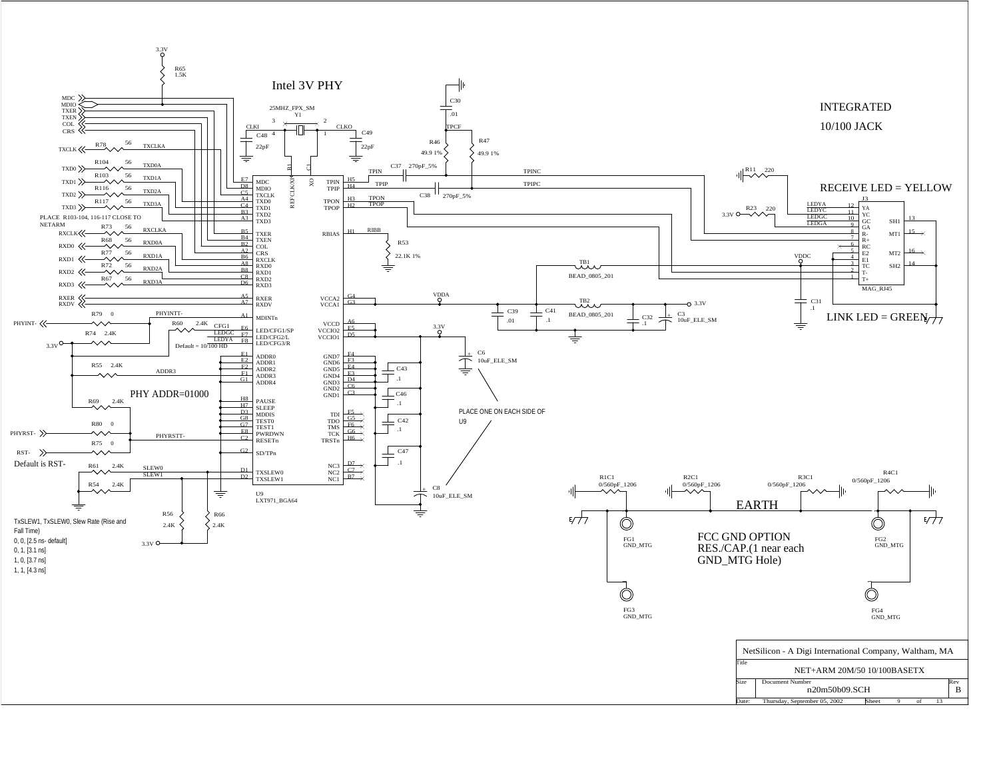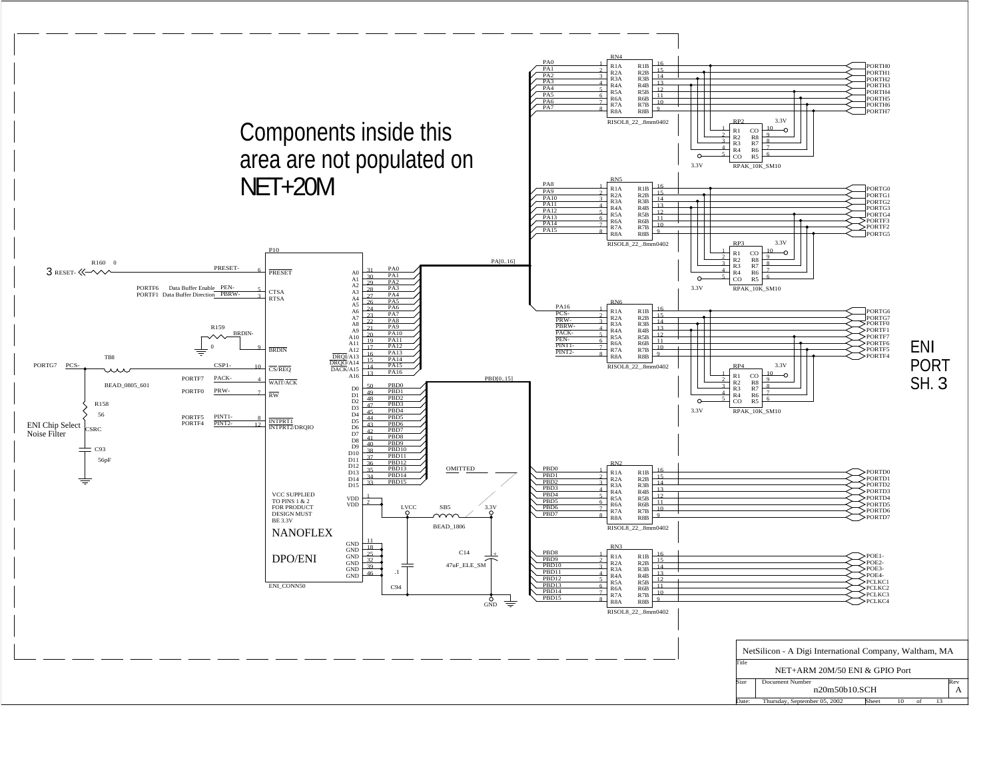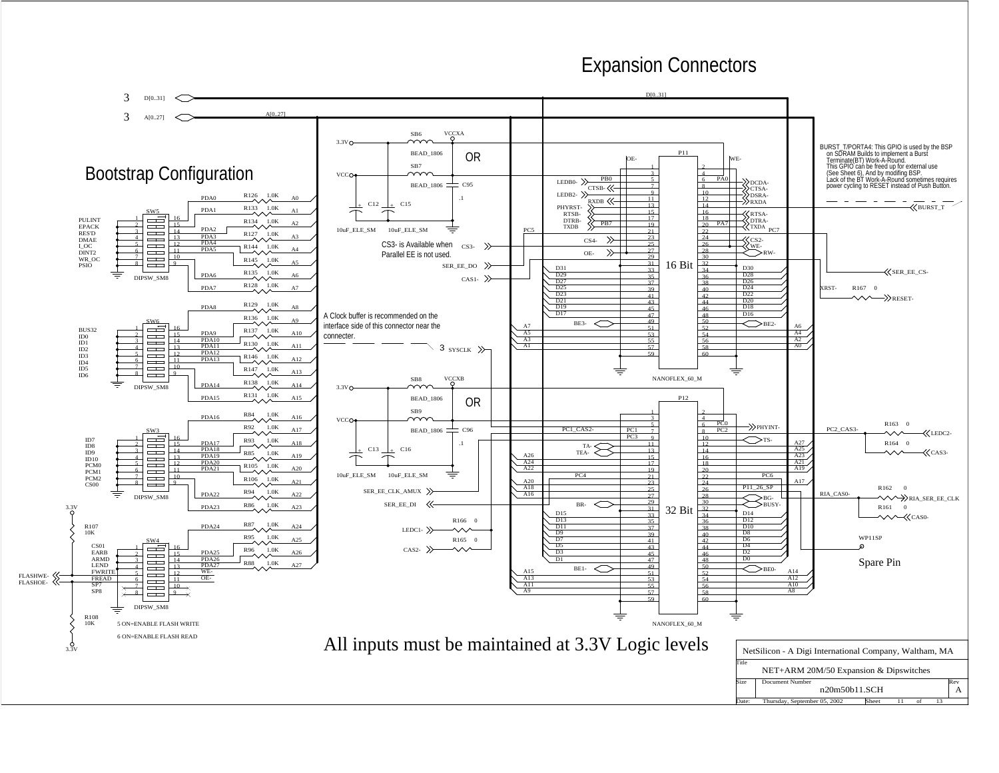## Expansion Connectors

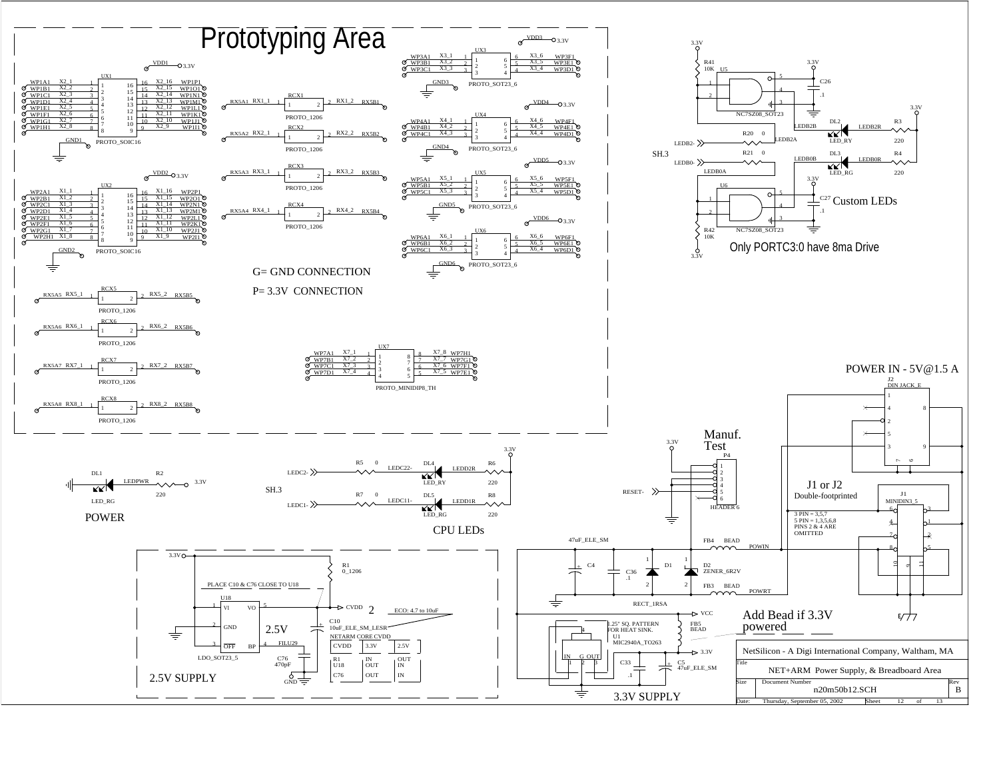